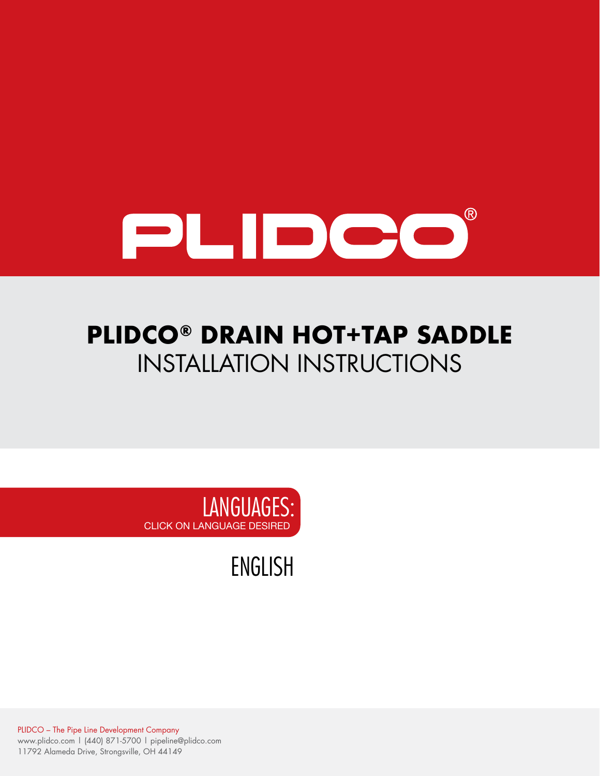

# **PLIDCO® DRAIN HOT+TAP SADDLE** INSTALLATION INSTRUCTIONS



[ENGLISH](#page-1-0)

PLIDCO – The Pipe Line Development Company www.plidco.com | (440) 871-5700 | pipeline@plidco.com 11792 Alameda Drive, Strongsville, OH 44149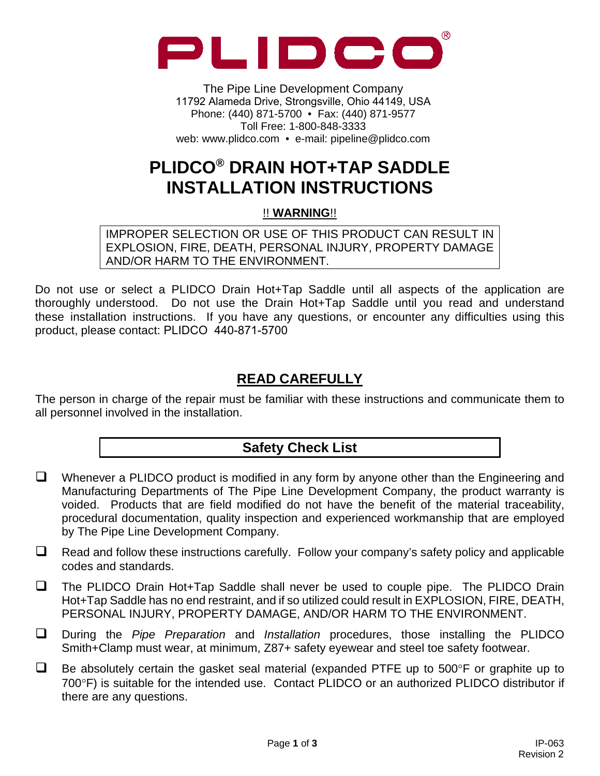<span id="page-1-0"></span>

The Pipe Line Development Company 11792 Alameda Drive, Strongsville, Ohio 44149, USA Phone: (440) 871-5700 • Fax: (440) 871-9577 Toll Free: 1-800-848-3333 web: www.plidco.com • e-mail: pipeline@plidco.com

## **PLIDCO® DRAIN HOT+TAP SADDLE INSTALLATION INSTRUCTIONS**

!! **WARNING**!!

IMPROPER SELECTION OR USE OF THIS PRODUCT CAN RESULT IN EXPLOSION, FIRE, DEATH, PERSONAL INJURY, PROPERTY DAMAGE AND/OR HARM TO THE ENVIRONMENT.

Do not use or select a PLIDCO Drain Hot+Tap Saddle until all aspects of the application are thoroughly understood. Do not use the Drain Hot+Tap Saddle until you read and understand these installation instructions. If you have any questions, or encounter any difficulties using this product, please contact: PLIDCO 440-871-5700

### **READ CAREFULLY**

The person in charge of the repair must be familiar with these instructions and communicate them to all personnel involved in the installation.

#### **Safety Check List**

- $\Box$  Whenever a PLIDCO product is modified in any form by anyone other than the Engineering and Manufacturing Departments of The Pipe Line Development Company, the product warranty is voided. Products that are field modified do not have the benefit of the material traceability, procedural documentation, quality inspection and experienced workmanship that are employed by The Pipe Line Development Company.
- $\Box$  Read and follow these instructions carefully. Follow your company's safety policy and applicable codes and standards.
- $\Box$  The PLIDCO Drain Hot+Tap Saddle shall never be used to couple pipe. The PLIDCO Drain Hot+Tap Saddle has no end restraint, and if so utilized could result in EXPLOSION, FIRE, DEATH, PERSONAL INJURY, PROPERTY DAMAGE, AND/OR HARM TO THE ENVIRONMENT.
- During the *Pipe Preparation* and *Installation* procedures, those installing the PLIDCO Smith+Clamp must wear, at minimum, Z87+ safety eyewear and steel toe safety footwear.
- $\Box$  Be absolutely certain the gasket seal material (expanded PTFE up to 500°F or graphite up to 700°F) is suitable for the intended use. Contact PLIDCO or an authorized PLIDCO distributor if there are any questions.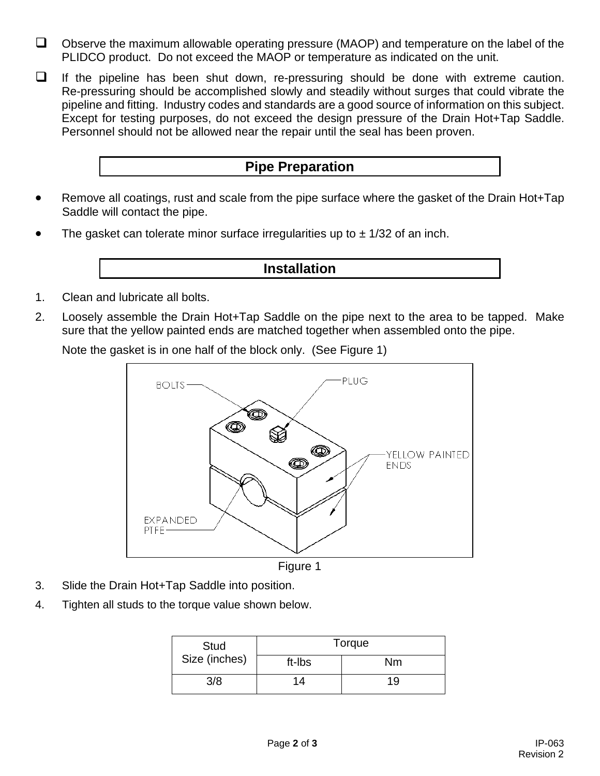- $\Box$  Observe the maximum allowable operating pressure (MAOP) and temperature on the label of the PLIDCO product. Do not exceed the MAOP or temperature as indicated on the unit.
- $\Box$  If the pipeline has been shut down, re-pressuring should be done with extreme caution. Re-pressuring should be accomplished slowly and steadily without surges that could vibrate the pipeline and fitting. Industry codes and standards are a good source of information on this subject. Except for testing purposes, do not exceed the design pressure of the Drain Hot+Tap Saddle. Personnel should not be allowed near the repair until the seal has been proven.

#### **Pipe Preparation**

- Remove all coatings, rust and scale from the pipe surface where the gasket of the Drain Hot+Tap Saddle will contact the pipe.
- The gasket can tolerate minor surface irregularities up to  $\pm$  1/32 of an inch.

#### **Installation**

- 1. Clean and lubricate all bolts.
- 2. Loosely assemble the Drain Hot+Tap Saddle on the pipe next to the area to be tapped. Make sure that the yellow painted ends are matched together when assembled onto the pipe.

Note the gasket is in one half of the block only. (See Figure 1)



Figure 1

- 3. Slide the Drain Hot+Tap Saddle into position.
- 4. Tighten all studs to the torque value shown below.

| Stud<br>Size (inches) | Torque |    |
|-----------------------|--------|----|
|                       | ft-Ibs | Nm |
| 3/8                   | 14     | 19 |